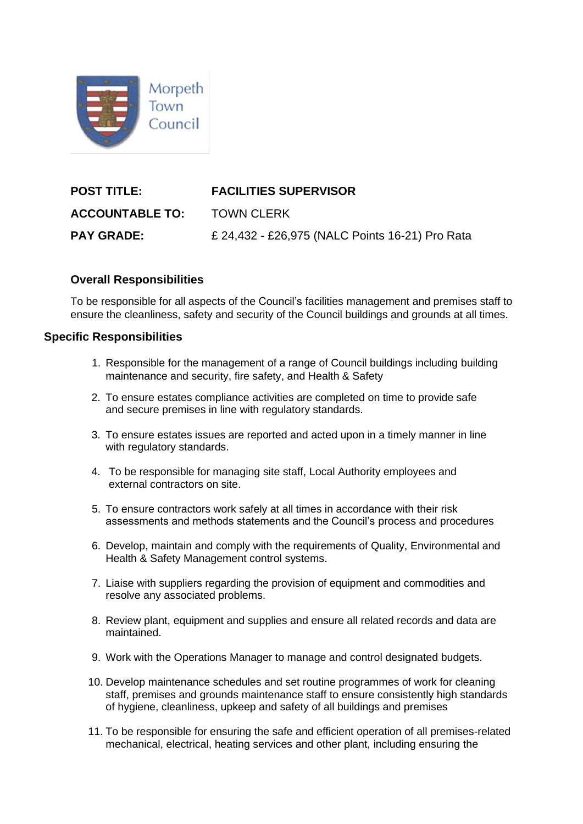

| <b>POST TITLE:</b>     | <b>FACILITIES SUPERVISOR</b>                    |  |
|------------------------|-------------------------------------------------|--|
| <b>ACCOUNTABLE TO:</b> | <b>TOWN CLERK</b>                               |  |
| <b>PAY GRADE:</b>      | £ 24,432 - £26,975 (NALC Points 16-21) Pro Rata |  |

## **Overall Responsibilities**

To be responsible for all aspects of the Council's facilities management and premises staff to ensure the cleanliness, safety and security of the Council buildings and grounds at all times.

## **Specific Responsibilities**

- 1. Responsible for the management of a range of Council buildings including building maintenance and security, fire safety, and Health & Safety
- 2. To ensure estates compliance activities are completed on time to provide safe and secure premises in line with regulatory standards.
- 3. To ensure estates issues are reported and acted upon in a timely manner in line with regulatory standards.
- 4. To be responsible for managing site staff, Local Authority employees and external contractors on site.
- 5. To ensure contractors work safely at all times in accordance with their risk assessments and methods statements and the Council's process and procedures
- 6. Develop, maintain and comply with the requirements of Quality, Environmental and Health & Safety Management control systems.
- 7. Liaise with suppliers regarding the provision of equipment and commodities and resolve any associated problems.
- 8. Review plant, equipment and supplies and ensure all related records and data are maintained.
- 9. Work with the Operations Manager to manage and control designated budgets.
- 10. Develop maintenance schedules and set routine programmes of work for cleaning staff, premises and grounds maintenance staff to ensure consistently high standards of hygiene, cleanliness, upkeep and safety of all buildings and premises
- 11. To be responsible for ensuring the safe and efficient operation of all premises-related mechanical, electrical, heating services and other plant, including ensuring the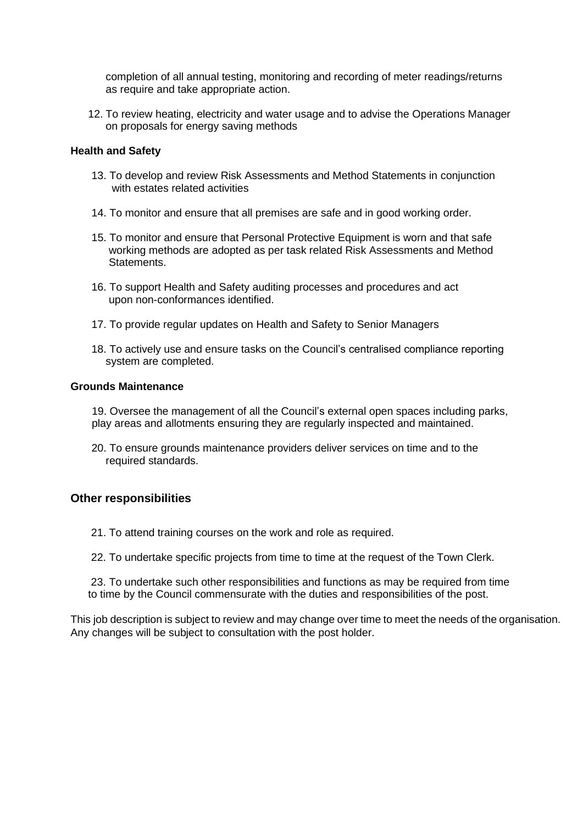completion of all annual testing, monitoring and recording of meter readings/returns as require and take appropriate action.

12. To review heating, electricity and water usage and to advise the Operations Manager on proposals for energy saving methods

#### **Health and Safety**

- 13. To develop and review Risk Assessments and Method Statements in conjunction with estates related activities
- 14. To monitor and ensure that all premises are safe and in good working order.
- 15. To monitor and ensure that Personal Protective Equipment is worn and that safe working methods are adopted as per task related Risk Assessments and Method Statements.
- 16. To support Health and Safety auditing processes and procedures and act upon non-conformances identified.
- 17. To provide regular updates on Health and Safety to Senior Managers
- 18. To actively use and ensure tasks on the Council's centralised compliance reporting system are completed.

#### **Grounds Maintenance**

- 19. Oversee the management of all the Council's external open spaces including parks, play areas and allotments ensuring they are regularly inspected and maintained.
- 20. To ensure grounds maintenance providers deliver services on time and to the required standards.

### **Other responsibilities**

- 21. To attend training courses on the work and role as required.
- 22. To undertake specific projects from time to time at the request of the Town Clerk.

23. To undertake such other responsibilities and functions as may be required from time to time by the Council commensurate with the duties and responsibilities of the post.

This job description is subject to review and may change over time to meet the needs of the organisation. Any changes will be subject to consultation with the post holder.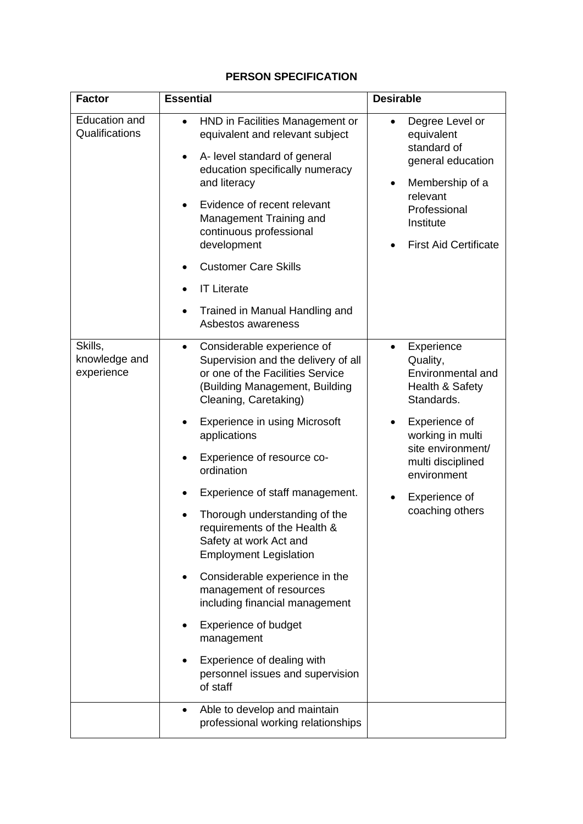# **PERSON SPECIFICATION**

| <b>Factor</b>                          | <b>Essential</b>                                                                                                                                                                                                                                                                                                                                                                                              | <b>Desirable</b>                                                                                                                                                   |
|----------------------------------------|---------------------------------------------------------------------------------------------------------------------------------------------------------------------------------------------------------------------------------------------------------------------------------------------------------------------------------------------------------------------------------------------------------------|--------------------------------------------------------------------------------------------------------------------------------------------------------------------|
| <b>Education and</b><br>Qualifications | HND in Facilities Management or<br>$\bullet$<br>equivalent and relevant subject<br>A- level standard of general<br>$\bullet$<br>education specifically numeracy<br>and literacy<br>Evidence of recent relevant<br>$\bullet$<br>Management Training and<br>continuous professional<br>development<br><b>Customer Care Skills</b><br><b>IT Literate</b><br>Trained in Manual Handling and<br>Asbestos awareness | Degree Level or<br>equivalent<br>standard of<br>general education<br>Membership of a<br>٠<br>relevant<br>Professional<br>Institute<br><b>First Aid Certificate</b> |
| Skills,<br>knowledge and<br>experience | Considerable experience of<br>$\bullet$<br>Supervision and the delivery of all<br>or one of the Facilities Service<br>(Building Management, Building<br>Cleaning, Caretaking)                                                                                                                                                                                                                                 | Experience<br>Quality,<br>Environmental and<br>Health & Safety<br>Standards.                                                                                       |
|                                        | <b>Experience in using Microsoft</b><br>applications<br>Experience of resource co-<br>ordination                                                                                                                                                                                                                                                                                                              | Experience of<br>working in multi<br>site environment/<br>multi disciplined<br>environment<br>Experience of<br>coaching others                                     |
|                                        | Experience of staff management.<br>Thorough understanding of the<br>requirements of the Health &<br>Safety at work Act and<br><b>Employment Legislation</b><br>Considerable experience in the<br>management of resources                                                                                                                                                                                      |                                                                                                                                                                    |
|                                        | including financial management<br><b>Experience of budget</b><br>management<br>Experience of dealing with<br>personnel issues and supervision<br>of staff                                                                                                                                                                                                                                                     |                                                                                                                                                                    |
|                                        | Able to develop and maintain<br>$\bullet$<br>professional working relationships                                                                                                                                                                                                                                                                                                                               |                                                                                                                                                                    |